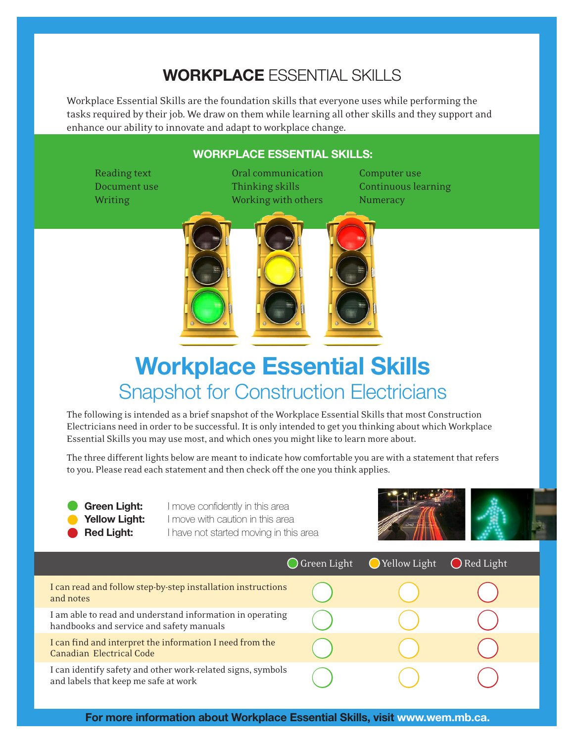## **Workplace** Essential Skills

Workplace Essential Skills are the foundation skills that everyone uses while performing the tasks required by their job. We draw on them while learning all other skills and they support and enhance our ability to innovate and adapt to workplace change.

## **Workplace Essential Skills:**

Reading text **Communication** Computer use Document use Thinking skills Continuous learning Writing Working Working with others Numeracy



## **Workplace Essential Skills**  Snapshot for Construction Electricians

The following is intended as a brief snapshot of the Workplace Essential Skills that most Construction Electricians need in order to be successful. It is only intended to get you thinking about which Workplace Essential Skills you may use most, and which ones you might like to learn more about.

The three different lights below are meant to indicate how comfortable you are with a statement that refers to you. Please read each statement and then check off the one you think applies.

**Green Light:** I move confidently in this area **Yellow Light:** I move with caution in this area **Red Light:** I have not started moving in this area



|                                                                                                       | $\bigcirc$ Green Light | $\bigcirc$ Yellow Light | ◯ Red Light |
|-------------------------------------------------------------------------------------------------------|------------------------|-------------------------|-------------|
| I can read and follow step-by-step installation instructions<br>and notes                             |                        |                         |             |
| I am able to read and understand information in operating<br>handbooks and service and safety manuals |                        |                         |             |
| I can find and interpret the information I need from the<br><b>Canadian Electrical Code</b>           |                        |                         |             |
| I can identify safety and other work-related signs, symbols<br>and labels that keep me safe at work   |                        |                         |             |